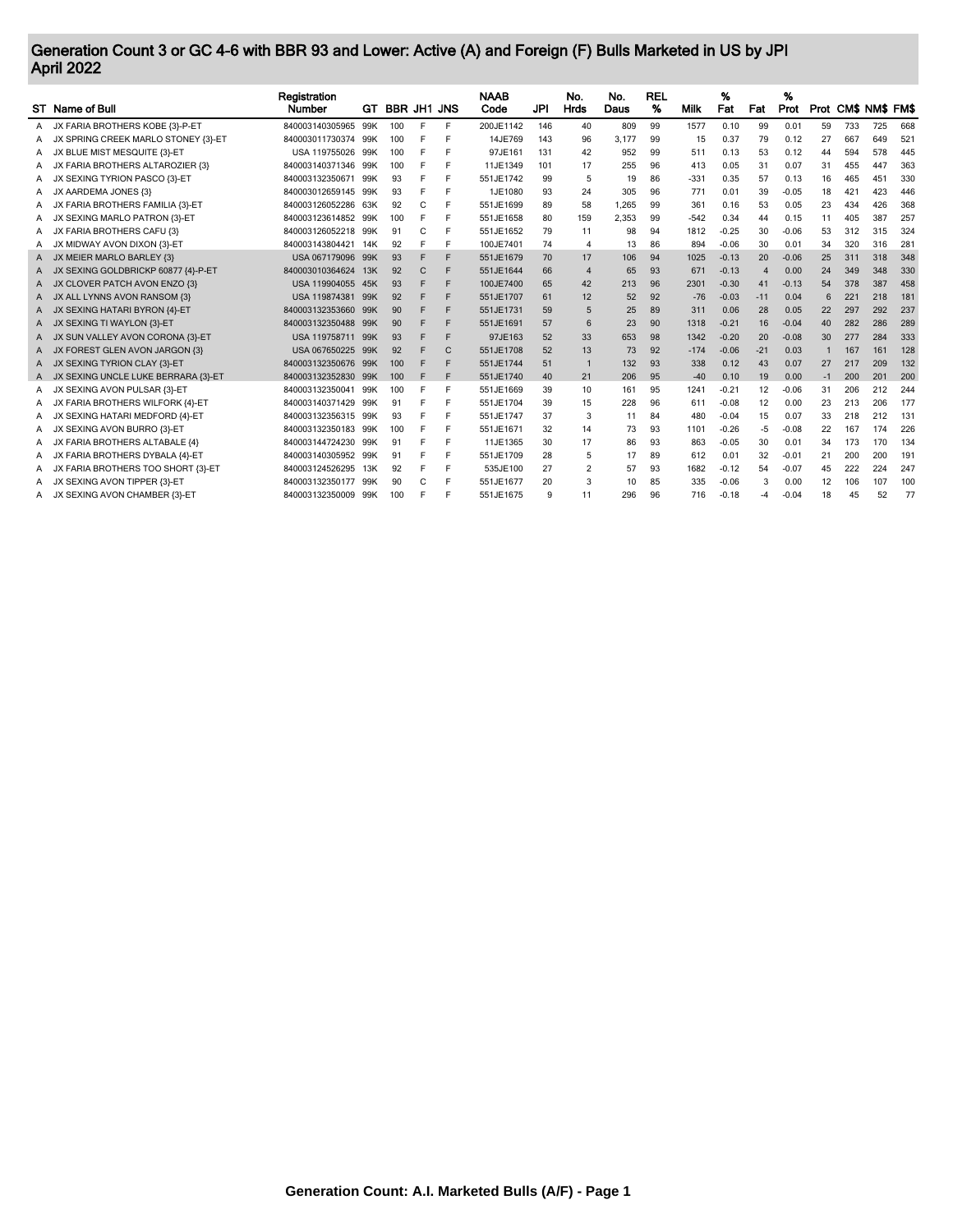## Generation Count 3 or GC 4-6 with BBR 93 and Lower: Active (A) and Foreign (F) Bulls Marketed in US by JPI April 2022

|   | ST Name of Bull                     | Registration<br><b>Number</b> | GT. | <b>BBR JH1 JNS</b> |   |              | <b>NAAB</b><br>Code | JPI | No.<br>Hrds             | No.<br>Daus | <b>REL</b><br>% | Milk   | %<br>Fat | Fat   | %<br>Prot |      | Prot CM\$ NM\$ FM\$ |     |        |
|---|-------------------------------------|-------------------------------|-----|--------------------|---|--------------|---------------------|-----|-------------------------|-------------|-----------------|--------|----------|-------|-----------|------|---------------------|-----|--------|
| A | JX FARIA BROTHERS KOBE {3}-P-ET     | 840003140305965               | 99K | 100                | F | F            | 200JE1142           | 146 | 40                      | 809         | 99              | 1577   | 0.10     | 99    | 0.01      | 59   | 733                 | 725 | 668    |
| A | JX SPRING CREEK MARLO STONEY (3)-ET | 840003011730374               | 99K | 100                |   | Е            | 14JE769             | 143 | 96                      | 3.177       | 99              | 15     | 0.37     | 79    | 0.12      | 27   | 667                 | 649 | 521    |
| А | JX BLUE MIST MESQUITE {3}-ET        | USA 119755026                 | 99K | 100                | Е |              | 97JE161             | 131 | 42                      | 952         | 99              | 511    | 0.13     | 53    | 0.12      | 44   | 594                 | 578 | 445    |
| Α | JX FARIA BROTHERS ALTAROZIER {3}    | 840003140371346               | 99K | 100                |   |              | 11JE1349            | 101 | 17                      | 255         | 96              | 413    | 0.05     | 31    | 0.07      | 31   | 455                 | 447 | 363    |
| А | JX SEXING TYRION PASCO (3)-ET       | 840003132350671 99K           |     | 93                 | F | E            | 551JE1742           | 99  | 5                       | 19          | 86              | $-331$ | 0.35     | 57    | 0.13      | 16   | 465                 | 451 | 330    |
| A | JX AARDEMA JONES {3}                | 840003012659145               | 99K | 93                 |   | F            | 1JE1080             | 93  | 24                      | 305         | 96              | 771    | 0.01     | 39    | $-0.05$   | 18   | 421                 | 423 | 446    |
| A | JX FARIA BROTHERS FAMILIA {3}-ET    | 840003126052286               | 63K | 92                 | C |              | 551JE1699           | 89  | 58                      | 1.265       | 99              | 361    | 0.16     | 53    | 0.05      | 23   | 434                 | 426 | 368    |
| A | JX SEXING MARLO PATRON {3}-ET       | 840003123614852 99K           |     | 100                | F |              | 551JE1658           | 80  | 159                     | 2,353       | 99              | $-542$ | 0.34     | 44    | 0.15      | 11   | 405                 | 387 | 257    |
| A | JX FARIA BROTHERS CAFU {3}          | 840003126052218               | 99K | 91                 | C | F            | 551JE1652           | 79  | 11                      | 98          | 94              | 1812   | $-0.25$  | 30    | $-0.06$   | 53   | 312                 | 315 | 324    |
| A | JX MIDWAY AVON DIXON {3}-ET         | 840003143804421               | 14K | 92                 |   | F            | 100JE7401           | 74  | $\overline{4}$          | 13          | 86              | 894    | $-0.06$  | 30    | 0.01      | 34   | 320                 | 316 | $28 -$ |
| A | JX MEIER MARLO BARLEY (3)           | USA 067179096 99K             |     | 93                 | F | F            | 551JE1679           | 70  | 17                      | 106         | 94              | 1025   | $-0.13$  | 20    | $-0.06$   | 25   | 311                 | 318 | 348    |
| A | JX SEXING GOLDBRICKP 60877 {4}-P-ET | 840003010364624               | 13K | 92                 | C | F            | 551JE1644           | 66  | $\overline{4}$          | 65          | 93              | 671    | $-0.13$  | 4     | 0.00      | 24   | 349                 | 348 | 330    |
| A | JX CLOVER PATCH AVON ENZO (3)       | USA 119904055                 | 45K | 93                 | F | F            | 100JE7400           | 65  | 42                      | 213         | 96              | 2301   | $-0.30$  | 41    | $-0.13$   | 54   | 378                 | 387 | 458    |
| A | JX ALL LYNNS AVON RANSOM {3}        | USA 119874381 99K             |     | 92                 | F | F            | 551JE1707           | 61  | 12                      | 52          | 92              | $-76$  | $-0.03$  | -11   | 0.04      | 6    | 221                 | 218 | 181    |
| A | SEXING HATARI BYRON {4}-ET          | 840003132353660               | 99K | 90                 | F | F            | 551JE1731           | 59  | 5                       | 25          | 89              | 311    | 0.06     | 28    | 0.05      | 22   | 297                 | 292 | 237    |
| A | JX SEXING TI WAYLON {3}-ET          | 840003132350488               | 99K | 90                 | F | F            | 551JE1691           | 57  | 6                       | 23          | 90              | 1318   | $-0.21$  | 16    | $-0.04$   | 40   | 282                 | 286 | 289    |
| A | JX SUN VALLEY AVON CORONA {3}-ET    | USA 119758711 99K             |     | 93                 | F | F            | 97JE163             | 52  | 33                      | 653         | 98              | 1342   | $-0.20$  | 20    | $-0.08$   | 30   | 277                 | 284 | 333    |
| A | JX FOREST GLEN AVON JARGON (3)      | USA 067650225                 | 99K | 92                 | F | $\mathsf{C}$ | 551JE1708           | 52  | 13                      | 73          | 92              | $-174$ | $-0.06$  | $-21$ | 0.03      |      | 167                 | 161 | 128    |
| A | JX SEXING TYRION CLAY (3)-ET        | 840003132350676 99K           |     | 100                | F |              | 551JE1744           | 51  | $\mathbf{1}$            | 132         | 93              | 338    | 0.12     | 43    | 0.07      | 27   | 217                 | 209 | 132    |
| A | JX SEXING UNCLE LUKE BERRARA {3}-ET | 840003132352830               | 99K | 100                | F | F            | 551JE1740           | 40  | 21                      | 206         | 95              | $-40$  | 0.10     | 19    | 0.00      | $-1$ | 200                 | 201 | 200    |
| A | JX SEXING AVON PULSAR {3}-ET        | 840003132350041               | 99K | 100                | F | F            | 551JE1669           | 39  | 10                      | 161         | 95              | 1241   | $-0.21$  | 12    | $-0.06$   | 31   | 206                 | 212 | 244    |
| A | JX FARIA BROTHERS WILFORK {4}-ET    | 840003140371429               | 99K | 91                 |   | F            | 551JE1704           | 39  | 15                      | 228         | 96              | 611    | $-0.08$  | 12    | 0.00      | 23   | 213                 | 206 | 177    |
| A | JX SEXING HATARI MEDFORD {4}-ET     | 840003132356315               | 99K | 93                 | F | E            | 551JE1747           | 37  | 3                       | 11          | 84              | 480    | $-0.04$  | 15    | 0.07      | 33   | 218                 | 212 | 131    |
| A | JX SEXING AVON BURRO (3)-ET         | 840003132350183               | 99K | 100                |   | E            | 551JE1671           | 32  | 14                      | 73          | 93              | 1101   | $-0.26$  | -5    | $-0.08$   | 22   | 167                 | 174 | 226    |
| A | JX FARIA BROTHERS ALTABALE {4}      | 840003144724230               | 99K | 91                 | F | F            | 11JE1365            | 30  | 17                      | 86          | 93              | 863    | $-0.05$  | 30    | 0.01      | 34   | 173                 | 170 | 134    |
| A | JX FARIA BROTHERS DYBALA {4}-ET     | 840003140305952               | 99K | 91                 | F |              | 551JE1709           | 28  | 5                       | 17          | 89              | 612    | 0.01     | 32    | $-0.01$   | 21   | 200                 | 200 | 191    |
| А | JX FARIA BROTHERS TOO SHORT {3}-ET  | 840003124526295               | 13K | 92                 | F |              | 535JE100            | 27  | $\overline{\mathbf{c}}$ | 57          | 93              | 1682   | $-0.12$  | 54    | $-0.07$   | 45   | 222                 | 224 | 247    |
| А | JX SEXING AVON TIPPER {3}-ET        | 840003132350177 99K           |     | 90                 | C |              | 551JE1677           | 20  | 3                       | 10          | 85              | 335    | $-0.06$  | 3     | 0.00      | 12   | 106                 | 107 | 100    |
|   | A JX SEXING AVON CHAMBER {3}-ET     | 840003132350009 99K           |     | 100                |   |              | 551JE1675           | 9   | 11                      | 296         | 96              | 716    | $-0.18$  | -4    | $-0.04$   | 18   | 45                  | 52  | 77     |